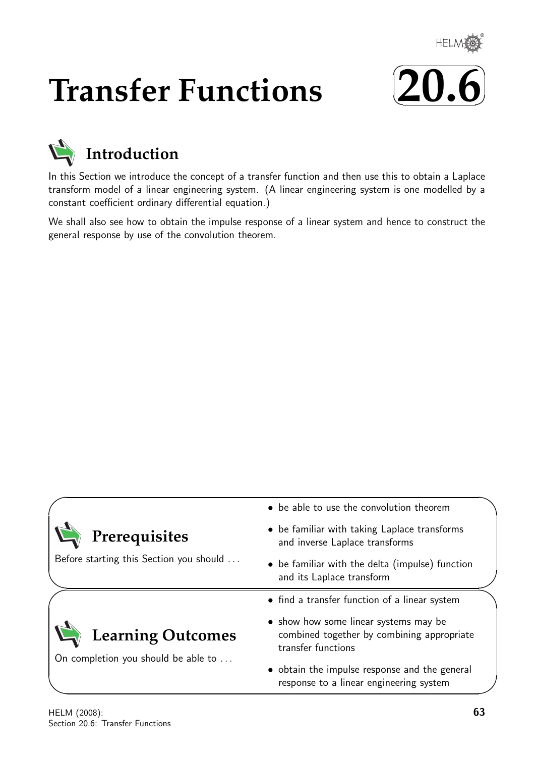

# **Transfer Functions**





In this Section we introduce the concept of a transfer function and then use this to obtain a Laplace transform model of a linear engineering system. (A linear engineering system is one modelled by a constant coefficient ordinary differential equation.)

We shall also see how to obtain the impulse response of a linear system and hence to construct the general response by use of the convolution theorem.

|                                                                 | • be able to use the convolution theorem                                                                  |  |  |
|-----------------------------------------------------------------|-----------------------------------------------------------------------------------------------------------|--|--|
| Prerequisites                                                   | • be familiar with taking Laplace transforms<br>and inverse Laplace transforms                            |  |  |
| Before starting this Section you should                         | • be familiar with the delta (impulse) function<br>and its Laplace transform                              |  |  |
|                                                                 | • find a transfer function of a linear system                                                             |  |  |
| <b>Learning Outcomes</b><br>On completion you should be able to | • show how some linear systems may be<br>combined together by combining appropriate<br>transfer functions |  |  |
|                                                                 | • obtain the impulse response and the general<br>response to a linear engineering system                  |  |  |

 $\overline{\phantom{0}}$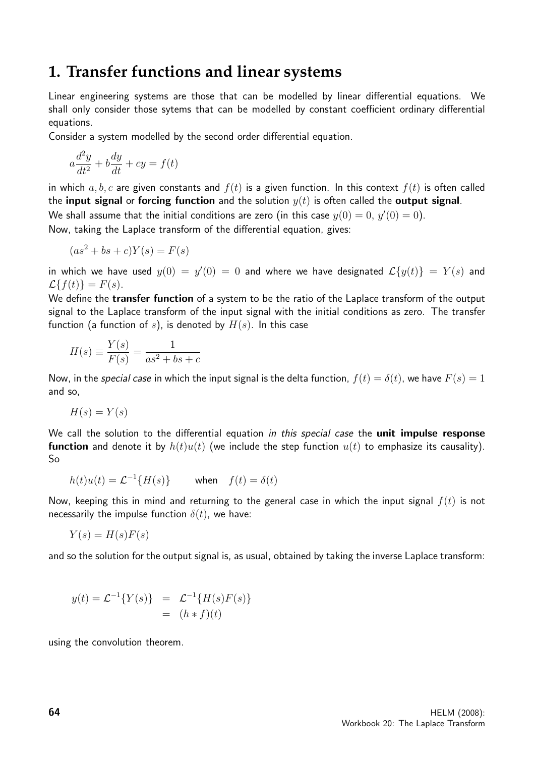## **1. Transfer functions and linear systems**

Linear engineering systems are those that can be modelled by linear differential equations. We shall only consider those sytems that can be modelled by constant coefficient ordinary differential equations.

Consider a system modelled by the second order differential equation.

$$
a\frac{d^2y}{dt^2} + b\frac{dy}{dt} + cy = f(t)
$$

in which  $a, b, c$  are given constants and  $f(t)$  is a given function. In this context  $f(t)$  is often called the input signal or forcing function and the solution  $y(t)$  is often called the output signal. We shall assume that the initial conditions are zero (in this case  $y(0)=0,\,y'(0)=0).$ 

Now, taking the Laplace transform of the differential equation, gives:

$$
(as2 + bs + c)Y(s) = F(s)
$$

in which we have used  $y(0) = y'(0) = 0$  and where we have designated  $\mathcal{L}{y(t)} = Y(s)$  and  $\mathcal{L}{f(t)} = F(s).$ 

We define the **transfer function** of a system to be the ratio of the Laplace transform of the output signal to the Laplace transform of the input signal with the initial conditions as zero. The transfer function (a function of s), is denoted by  $H(s)$ . In this case

$$
H(s) \equiv \frac{Y(s)}{F(s)} = \frac{1}{as^2 + bs + c}
$$

Now, in the special case in which the input signal is the delta function,  $f(t) = \delta(t)$ , we have  $F(s) = 1$ and so,

$$
H(s) = Y(s)
$$

We call the solution to the differential equation in this special case the **unit impulse response function** and denote it by  $h(t)u(t)$  (we include the step function  $u(t)$  to emphasize its causality). So

$$
h(t)u(t) = \mathcal{L}^{-1}{H(s)}
$$
 when  $f(t) = \delta(t)$ 

Now, keeping this in mind and returning to the general case in which the input signal  $f(t)$  is not necessarily the impulse function  $\delta(t)$ , we have:

$$
Y(s) = H(s)F(s)
$$

and so the solution for the output signal is, as usual, obtained by taking the inverse Laplace transform:

$$
y(t) = \mathcal{L}^{-1}{Y(s)} = \mathcal{L}^{-1}{H(s)F(s)}
$$
  
=  $(h * f)(t)$ 

using the convolution theorem.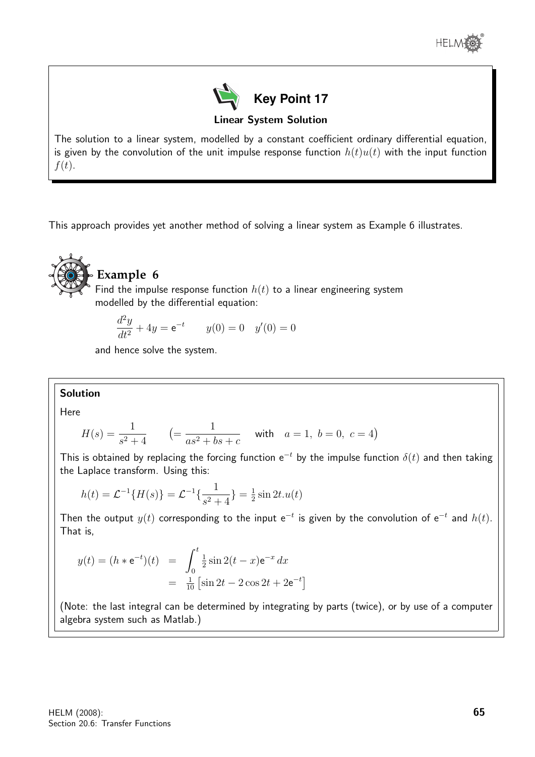



Linear System Solution

The solution to a linear system, modelled by a constant coefficient ordinary differential equation, is given by the convolution of the unit impulse response function  $h(t)u(t)$  with the input function  $f(t)$ .

This approach provides yet another method of solving a linear system as Example 6 illustrates.



### **Example 6**

Find the impulse response function  $h(t)$  to a linear engineering system modelled by the differential equation:

$$
\frac{d^2y}{dt^2} + 4y = e^{-t} \qquad y(0) = 0 \quad y'(0) = 0
$$

and hence solve the system.

### Solution

Here

$$
H(s) = \frac{1}{s^2 + 4} \qquad \left( = \frac{1}{as^2 + bs + c} \quad \text{with} \quad a = 1, \ b = 0, \ c = 4 \right)
$$

This is obtained by replacing the forcing function  $e^{-t}$  by the impulse function  $\delta(t)$  and then taking the Laplace transform. Using this:

$$
h(t) = \mathcal{L}^{-1}{H(s)} = \mathcal{L}^{-1}\left\{\frac{1}{s^2 + 4}\right\} = \frac{1}{2}\sin 2t.u(t)
$$

Then the output  $y(t)$  corresponding to the input  $e^{-t}$  is given by the convolution of  $e^{-t}$  and  $h(t)$ . That is,

$$
y(t) = (h * e^{-t})(t) = \int_0^t \frac{1}{2} \sin 2(t - x) e^{-x} dx
$$
  
= 
$$
\frac{1}{10} \left[ \sin 2t - 2 \cos 2t + 2e^{-t} \right]
$$

(Note: the last integral can be determined by integrating by parts (twice), or by use of a computer algebra system such as Matlab.)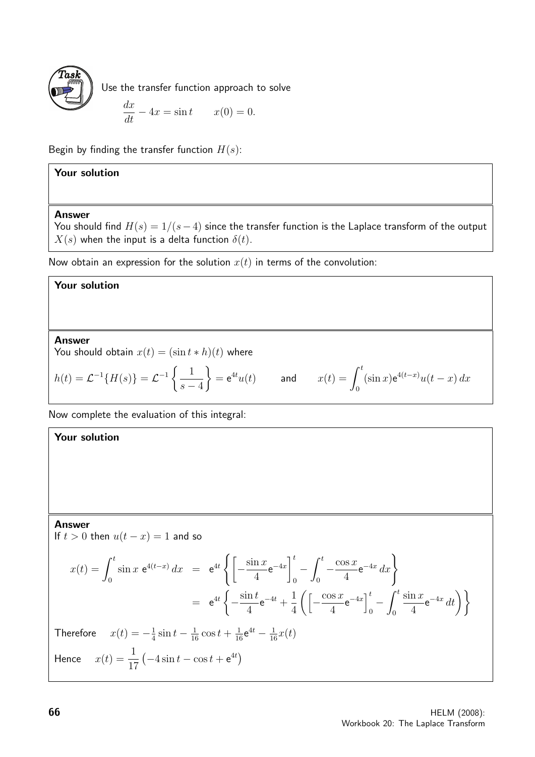

Use the transfer function approach to solve

$$
\frac{dx}{dt} - 4x = \sin t \qquad x(0) = 0.
$$

Begin by finding the transfer function  $H(s)$ :

### Your solution

### Answer

You should find  $H(s) = 1/(s-4)$  since the transfer function is the Laplace transform of the output  $X(s)$  when the input is a delta function  $\delta(t)$ .

Now obtain an expression for the solution  $x(t)$  in terms of the convolution:

### Your solution

Answer

You should obtain  $x(t) = (\sin t * h)(t)$  where

$$
h(t) = \mathcal{L}^{-1}{H(s)} = \mathcal{L}^{-1}\left\{\frac{1}{s-4}\right\} = e^{4t}u(t) \quad \text{and} \quad x(t) = \int_0^t (\sin x)e^{4(t-x)}u(t-x) dx
$$

Now complete the evaluation of this integral:

Your solution

### Answer

If  $t > 0$  then  $u(t - x) = 1$  and so

$$
x(t) = \int_0^t \sin x \ e^{4(t-x)} dx = e^{4t} \left\{ \left[ -\frac{\sin x}{4} e^{-4x} \right]_0^t - \int_0^t -\frac{\cos x}{4} e^{-4x} dx \right\}
$$
  
\n
$$
= e^{4t} \left\{ -\frac{\sin t}{4} e^{-4t} + \frac{1}{4} \left( \left[ -\frac{\cos x}{4} e^{-4x} \right]_0^t - \int_0^t \frac{\sin x}{4} e^{-4x} dt \right) \right\}
$$
  
\nTherefore  $x(t) = -\frac{1}{4} \sin t - \frac{1}{16} \cos t + \frac{1}{16} e^{4t} - \frac{1}{16} x(t)$   
\nHence  $x(t) = \frac{1}{17} \left( -4 \sin t - \cos t + e^{4t} \right)$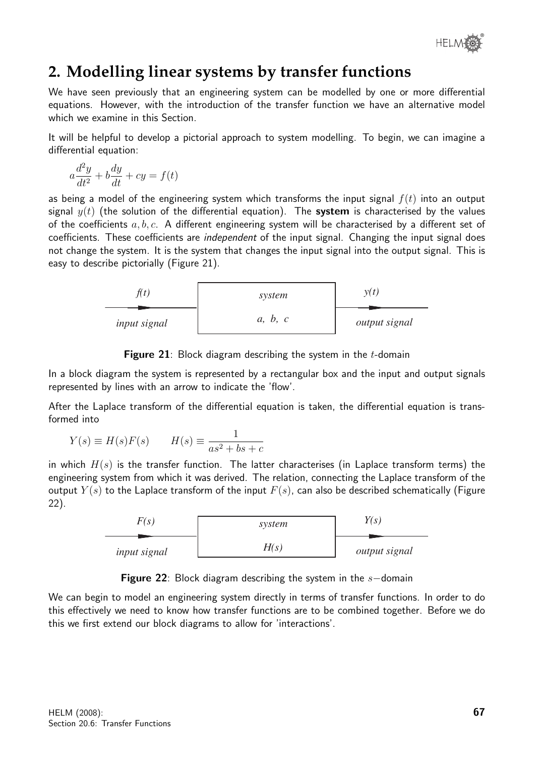

# **2. Modelling linear systems by transfer functions**

We have seen previously that an engineering system can be modelled by one or more differential equations. However, with the introduction of the transfer function we have an alternative model which we examine in this Section.

It will be helpful to develop a pictorial approach to system modelling. To begin, we can imagine a differential equation:

$$
a\frac{d^2y}{dt^2} + b\frac{dy}{dt} + cy = f(t)
$$

as being a model of the engineering system which transforms the input signal  $f(t)$  into an output signal  $y(t)$  (the solution of the differential equation). The system is characterised by the values of the coefficients  $a, b, c$ . A different engineering system will be characterised by a different set of coefficients. These coefficients are *independent* of the input signal. Changing the input signal does not change the system. It is the system that changes the input signal into the output signal. This is easy to describe pictorially (Figure 21).



**Figure 21**: Block diagram describing the system in the  $t$ -domain

In a block diagram the system is represented by a rectangular box and the input and output signals represented by lines with an arrow to indicate the 'flow'.

After the Laplace transform of the differential equation is taken, the differential equation is transformed into

$$
Y(s) \equiv H(s)F(s) \qquad H(s) \equiv \frac{1}{as^2 + bs + c}
$$

in which  $H(s)$  is the transfer function. The latter characterises (in Laplace transform terms) the engineering system from which it was derived. The relation, connecting the Laplace transform of the output  $Y(s)$  to the Laplace transform of the input  $F(s)$ , can also be described schematically (Figure 22).

| F(s)                | system | Y(s)                 |  |
|---------------------|--------|----------------------|--|
| <i>input signal</i> | H(s)   | <i>output signal</i> |  |

|  |  | <b>Figure 22</b> : Block diagram describing the system in the $s$ -domain |  |  |  |
|--|--|---------------------------------------------------------------------------|--|--|--|
|--|--|---------------------------------------------------------------------------|--|--|--|

We can begin to model an engineering system directly in terms of transfer functions. In order to do this effectively we need to know how transfer functions are to be combined together. Before we do this we first extend our block diagrams to allow for 'interactions'.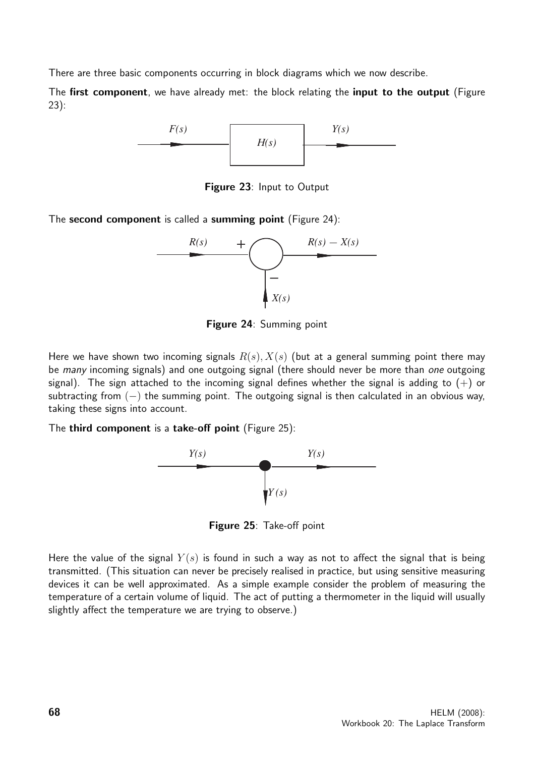There are three basic components occurring in block diagrams which we now describe.

The first component, we have already met: the block relating the input to the output (Figure 23):



Figure 23: Input to Output

The second component is called a summing point (Figure 24):



Figure 24: Summing point

Here we have shown two incoming signals  $R(s)$ ,  $X(s)$  (but at a general summing point there may be *many* incoming signals) and one outgoing signal (there should never be more than *one* outgoing signal). The sign attached to the incoming signal defines whether the signal is adding to  $(+)$  or subtracting from  $(-)$  the summing point. The outgoing signal is then calculated in an obvious way, taking these signs into account.

The third component is a take-off point (Figure 25):



Figure 25: Take-off point

Here the value of the signal  $Y(s)$  is found in such a way as not to affect the signal that is being transmitted. (This situation can never be precisely realised in practice, but using sensitive measuring devices it can be well approximated. As a simple example consider the problem of measuring the temperature of a certain volume of liquid. The act of putting a thermometer in the liquid will usually slightly affect the temperature we are trying to observe.)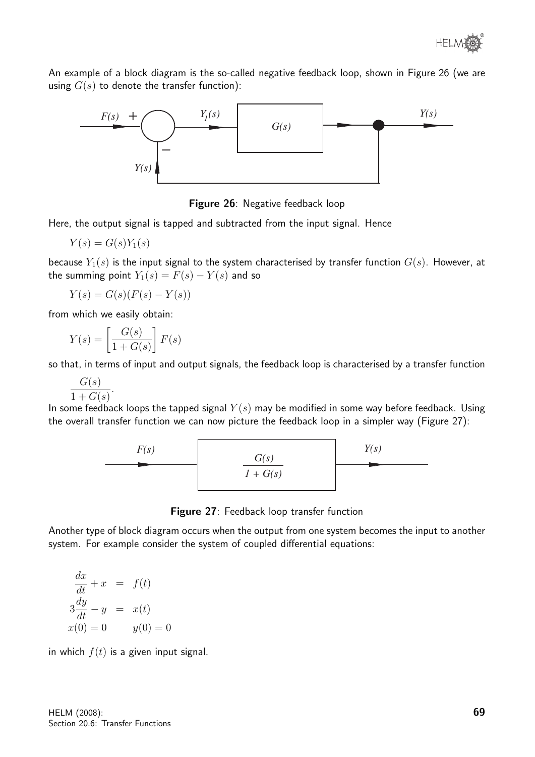An example of a block diagram is the so-called negative feedback loop, shown in Figure 26 (we are using  $G(s)$  to denote the transfer function):





Here, the output signal is tapped and subtracted from the input signal. Hence

$$
Y(s) = G(s)Y_1(s)
$$

because  $Y_1(s)$  is the input signal to the system characterised by transfer function  $G(s)$ . However, at the summing point  $Y_1(s) = F(s) - Y(s)$  and so

 $Y(s) = G(s)(F(s) - Y(s))$ 

from which we easily obtain:

.

$$
Y(s) = \left[\frac{G(s)}{1 + G(s)}\right] F(s)
$$

so that, in terms of input and output signals, the feedback loop is characterised by a transfer function

$$
\frac{G(s)}{1+G(s)}
$$

In some feedback loops the tapped signal  $Y(s)$  may be modified in some way before feedback. Using the overall transfer function we can now picture the feedback loop in a simpler way (Figure 27):



Figure 27: Feedback loop transfer function

Another type of block diagram occurs when the output from one system becomes the input to another system. For example consider the system of coupled differential equations:

$$
\frac{dx}{dt} + x = f(t)
$$
  
\n
$$
3\frac{dy}{dt} - y = x(t)
$$
  
\n
$$
x(0) = 0 \qquad y(0) = 0
$$

in which  $f(t)$  is a given input signal.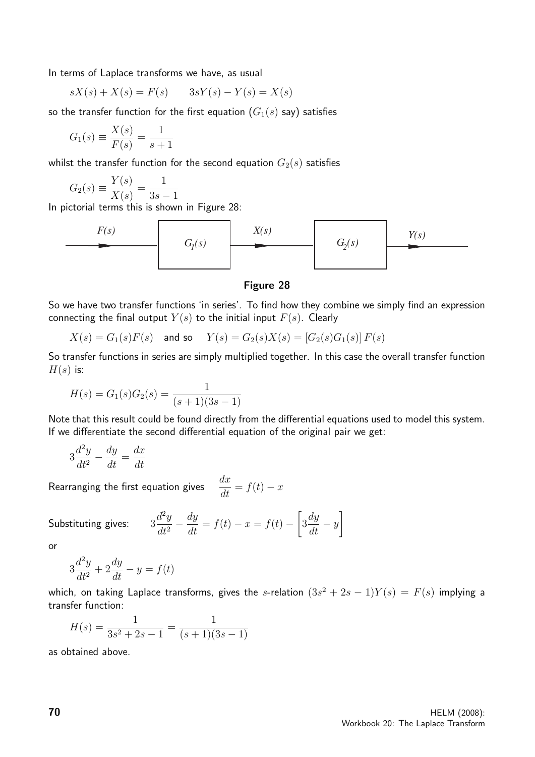In terms of Laplace transforms we have, as usual

$$
sX(s) + X(s) = F(s) \qquad 3sY(s) - Y(s) = X(s)
$$

so the transfer function for the first equation  $(G_1(s)$  say) satisfies

$$
G_1(s) \equiv \frac{X(s)}{F(s)} = \frac{1}{s+1}
$$

whilst the transfer function for the second equation  $G_2(s)$  satisfies

$$
G_2(s) \equiv \frac{Y(s)}{X(s)} = \frac{1}{3s - 1}
$$

In pictorial terms this is shown in Figure 28:



### Figure 28

So we have two transfer functions 'in series'. To find how they combine we simply find an expression connecting the final output  $Y(s)$  to the initial input  $F(s)$ . Clearly

$$
X(s) = G_1(s)F(s)
$$
 and so  $Y(s) = G_2(s)X(s) = [G_2(s)G_1(s)]F(s)$ 

So transfer functions in series are simply multiplied together. In this case the overall transfer function  $H(s)$  is:

$$
H(s) = G_1(s)G_2(s) = \frac{1}{(s+1)(3s-1)}
$$

Note that this result could be found directly from the differential equations used to model this system. If we differentiate the second differential equation of the original pair we get:

$$
3\frac{d^2y}{dt^2} - \frac{dy}{dt} = \frac{dx}{dt}
$$

Rearranging the first equation gives  $\frac{dx}{dt} = f(t) - x$ 

Substituting gives:  $3$  $d^2y$  $dt^2$  $-\frac{dy}{dt} = f(t) - x = f(t) \sqrt{ }$ 3  $\frac{dy}{dt} - y$ 1

or

$$
3\frac{d^2y}{dt^2} + 2\frac{dy}{dt} - y = f(t)
$$

which, on taking Laplace transforms, gives the s-relation  $(3s^2 + 2s - 1)Y(s) = F(s)$  implying a transfer function:

$$
H(s) = \frac{1}{3s^2 + 2s - 1} = \frac{1}{(s+1)(3s-1)}
$$

as obtained above.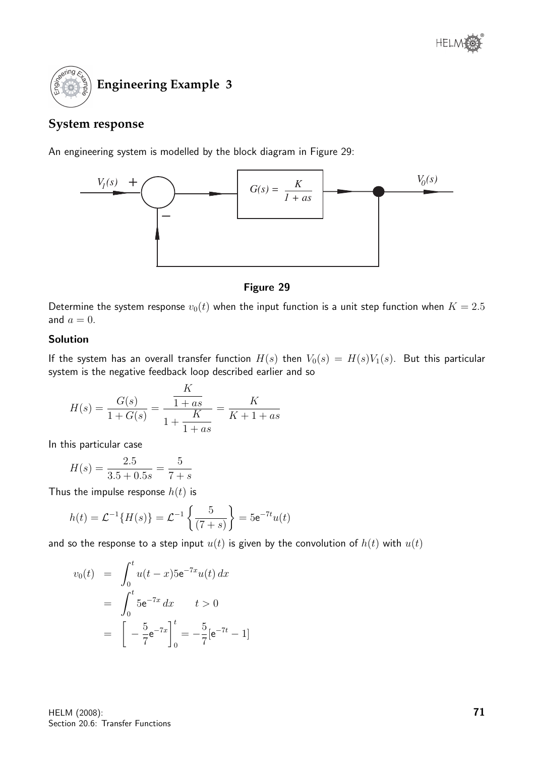

### **System response**

An engineering system is modelled by the block diagram in Figure 29:



### Figure 29

Determine the system response  $v_0(t)$  when the input function is a unit step function when  $K = 2.5$ and  $a = 0$ .

### Solution

If the system has an overall transfer function  $H(s)$  then  $V_0(s) = H(s)V_1(s)$ . But this particular system is the negative feedback loop described earlier and so

$$
H(s) = \frac{G(s)}{1 + G(s)} = \frac{\frac{K}{1 + as}}{1 + \frac{K}{1 + as}} = \frac{K}{K + 1 + as}
$$

 $\overline{r}$ 

In this particular case

$$
H(s) = \frac{2.5}{3.5 + 0.5s} = \frac{5}{7 + s}
$$

Thus the impulse response  $h(t)$  is

$$
h(t) = \mathcal{L}^{-1}{H(s)} = \mathcal{L}^{-1}\left\{\frac{5}{(7+s)}\right\} = 5e^{-7t}u(t)
$$

and so the response to a step input  $u(t)$  is given by the convolution of  $h(t)$  with  $u(t)$ 

$$
v_0(t) = \int_0^t u(t-x)5e^{-7x}u(t) dx
$$
  
= 
$$
\int_0^t 5e^{-7x} dx \qquad t > 0
$$
  
= 
$$
\left[ -\frac{5}{7}e^{-7x} \right]_0^t = -\frac{5}{7}[e^{-7t} - 1]
$$